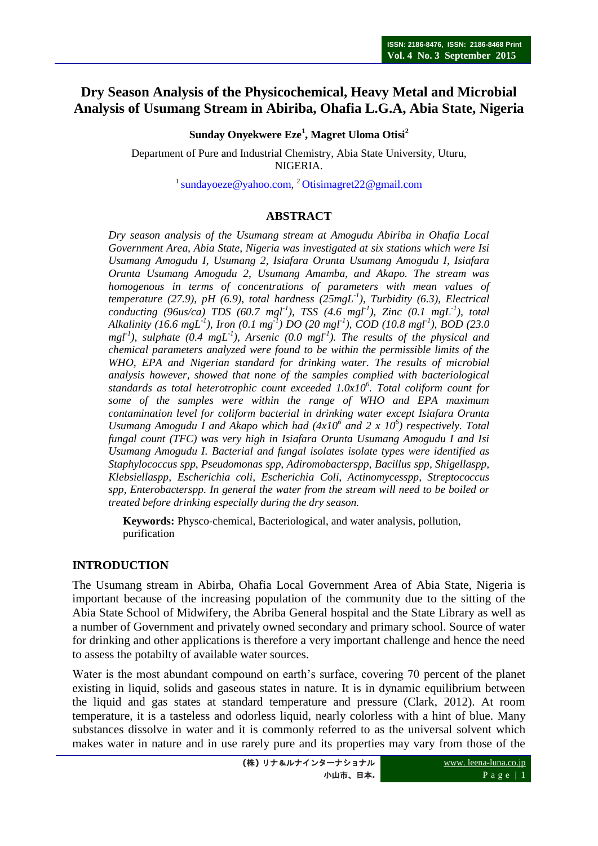# **Dry Season Analysis of the Physicochemical, Heavy Metal and Microbial Analysis of Usumang Stream in Abiriba, Ohafia L.G.A, Abia State, Nigeria**

**Sunday Onyekwere Eze<sup>1</sup> , Magret Uloma Otisi<sup>2</sup>**

Department of Pure and Industrial Chemistry, Abia State University, Uturu, NIGERIA.

<sup>1</sup> [sundayoeze@yahoo.com,](mailto:sundayoeze@yahoo.com) <sup>2</sup> [Otisimagret22@gmail.com](mailto:Otisimagret22@gmail.com)

### **ABSTRACT**

*Dry season analysis of the Usumang stream at Amogudu Abiriba in Ohafia Local Government Area, Abia State, Nigeria was investigated at six stations which were Isi Usumang Amogudu I, Usumang 2, Isiafara Orunta Usumang Amogudu I, Isiafara Orunta Usumang Amogudu 2, Usumang Amamba, and Akapo. The stream was homogenous in terms of concentrations of parameters with mean values of temperature (27.9), pH (6.9), total hardness (25mgL-1 ), Turbidity (6.3), Electrical conducting (96us/ca) TDS (60.7 mgl-1 ), TSS (4.6 mgl-1 ), Zinc (0.1 mgL-1 ), total Alkalinity (16.6 mgL-1 ), Iron (0.1 mg-1 ) DO (20 mgl-1 ), COD (10.8 mgl-1 ), BOD (23.0 mgl-1 ), sulphate (0.4 mgL-1 ), Arsenic (0.0 mgl-1 ). The results of the physical and chemical parameters analyzed were found to be within the permissible limits of the WHO, EPA and Nigerian standard for drinking water. The results of microbial analysis however, showed that none of the samples complied with bacteriological standards as total heterotrophic count exceeded 1.0x10<sup>6</sup> . Total coliform count for some of the samples were within the range of WHO and EPA maximum contamination level for coliform bacterial in drinking water except Isiafara Orunta*  Usumang Amogudu I and Akapo which had  $(4x10^6 \text{ and } 2 \text{ x } 10^6)$  respectively. Total *fungal count (TFC) was very high in Isiafara Orunta Usumang Amogudu I and Isi Usumang Amogudu I. Bacterial and fungal isolates isolate types were identified as Staphylococcus spp, Pseudomonas spp, Adiromobacterspp, Bacillus spp, Shigellaspp, Klebsiellaspp, Escherichia coli, Escherichia Coli, Actinomycesspp, Streptococcus spp, Enterobacterspp. In general the water from the stream will need to be boiled or treated before drinking especially during the dry season.*

**Keywords:** Physco-chemical, Bacteriological, and water analysis, pollution, purification

### **INTRODUCTION**

The Usumang stream in Abirba, Ohafia Local Government Area of Abia State, Nigeria is important because of the increasing population of the community due to the sitting of the Abia State School of Midwifery, the Abriba General hospital and the State Library as well as a number of Government and privately owned secondary and primary school. Source of water for drinking and other applications is therefore a very important challenge and hence the need to assess the potabilty of available water sources.

Water is the most abundant compound on earth's surface, covering 70 percent of the planet existing in liquid, solids and gaseous states in nature. It is in dynamic equilibrium between the liquid and gas states at standard temperature and pressure (Clark, 2012). At room temperature, it is a tasteless and odorless liquid, nearly colorless with a hint of blue. Many substances dissolve in water and it is commonly referred to as the universal solvent which makes water in nature and in use rarely pure and its properties may vary from those of the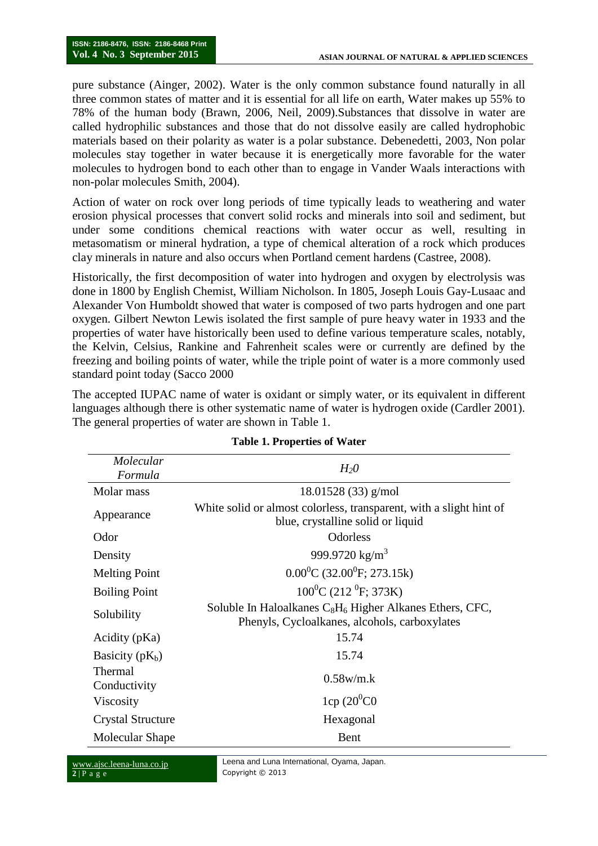pure substance (Ainger, 2002). Water is the only common substance found naturally in all three common states of matter and it is essential for all life on earth, Water makes up 55% to 78% of the human body (Brawn, 2006, Neil, 2009).Substances that dissolve in water are called hydrophilic substances and those that do not dissolve easily are called hydrophobic materials based on their polarity as water is a polar substance. Debenedetti, 2003, Non polar molecules stay together in water because it is energetically more favorable for the water molecules to hydrogen bond to each other than to engage in Vander Waals interactions with non-polar molecules Smith, 2004).

Action of water on rock over long periods of time typically leads to weathering and water erosion physical processes that convert solid rocks and minerals into soil and sediment, but under some conditions chemical reactions with water occur as well, resulting in metasomatism or mineral hydration, a type of chemical alteration of a rock which produces clay minerals in nature and also occurs when Portland cement hardens (Castree, 2008).

Historically, the first decomposition of water into hydrogen and oxygen by electrolysis was done in 1800 by English Chemist, William Nicholson. In 1805, Joseph Louis Gay-Lusaac and Alexander Von Humboldt showed that water is composed of two parts hydrogen and one part oxygen. Gilbert Newton Lewis isolated the first sample of pure heavy water in 1933 and the properties of water have historically been used to define various temperature scales, notably, the Kelvin, Celsius, Rankine and Fahrenheit scales were or currently are defined by the freezing and boiling points of water, while the triple point of water is a more commonly used standard point today (Sacco 2000

The accepted IUPAC name of water is oxidant or simply water, or its equivalent in different languages although there is other systematic name of water is hydrogen oxide (Cardler 2001). The general properties of water are shown in Table 1.

| Molecular<br>Formula     | $H_2O$                                                                                                                            |
|--------------------------|-----------------------------------------------------------------------------------------------------------------------------------|
| Molar mass               | $18.01528(33)$ g/mol                                                                                                              |
| Appearance               | White solid or almost colorless, transparent, with a slight hint of<br>blue, crystalline solid or liquid                          |
| Odor                     | <b>Odorless</b>                                                                                                                   |
| Density                  | 999.9720 $\text{kg/m}^3$                                                                                                          |
| <b>Melting Point</b>     | $0.00^0C$ (32.00 <sup>0</sup> F; 273.15k)                                                                                         |
| <b>Boiling Point</b>     | $100^0C(212^0F; 373K)$                                                                                                            |
| Solubility               | Soluble In Haloalkanes C <sub>8</sub> H <sub>6</sub> Higher Alkanes Ethers, CFC,<br>Phenyls, Cycloalkanes, alcohols, carboxylates |
| Acidity (pKa)            | 15.74                                                                                                                             |
| Basicity $(pK_b)$        | 15.74                                                                                                                             |
| Thermal<br>Conductivity  | $0.58$ w/m.k                                                                                                                      |
| Viscosity                | $1cp(20^{0}CO)$                                                                                                                   |
| <b>Crystal Structure</b> | Hexagonal                                                                                                                         |
| Molecular Shape          | <b>Bent</b>                                                                                                                       |

#### **Table 1. Properties of Water**

www.ajsc.leena-luna.co.jp **2** | P a g e

Leena and Luna International, Oyama, Japan. Copyright © 2013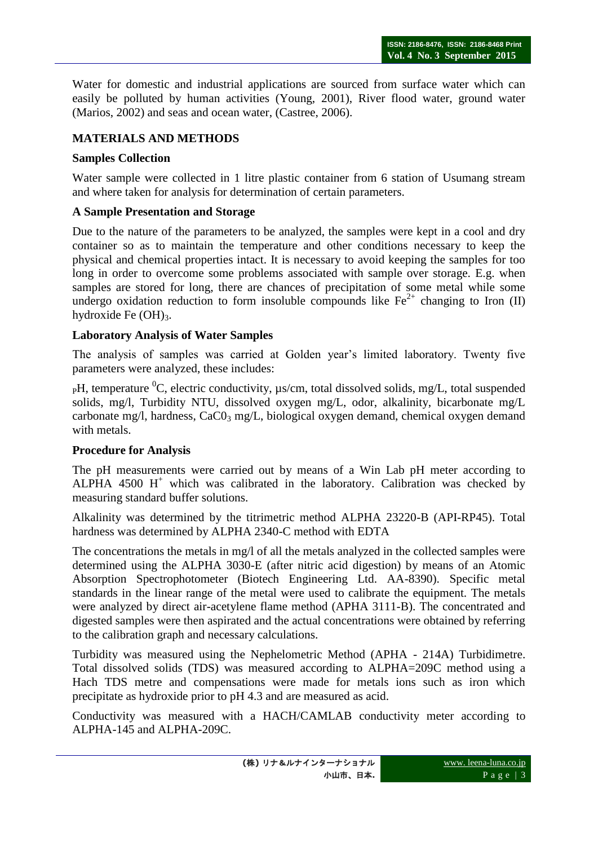Water for domestic and industrial applications are sourced from surface water which can easily be polluted by human activities (Young, 2001), River flood water, ground water (Marios, 2002) and seas and ocean water, (Castree, 2006).

### **MATERIALS AND METHODS**

### **Samples Collection**

Water sample were collected in 1 litre plastic container from 6 station of Usumang stream and where taken for analysis for determination of certain parameters.

### **A Sample Presentation and Storage**

Due to the nature of the parameters to be analyzed, the samples were kept in a cool and dry container so as to maintain the temperature and other conditions necessary to keep the physical and chemical properties intact. It is necessary to avoid keeping the samples for too long in order to overcome some problems associated with sample over storage. E.g. when samples are stored for long, there are chances of precipitation of some metal while some undergo oxidation reduction to form insoluble compounds like  $Fe^{2+}$  changing to Iron (II) hydroxide Fe  $(OH)_{3}$ .

### **Laboratory Analysis of Water Samples**

The analysis of samples was carried at Golden year's limited laboratory. Twenty five parameters were analyzed, these includes:

 $pH$ , temperature <sup>0</sup>C, electric conductivity,  $\mu s/cm$ , total dissolved solids, mg/L, total suspended solids, mg/l, Turbidity NTU, dissolved oxygen mg/L, odor, alkalinity, bicarbonate mg/L carbonate mg/l, hardness,  $CaCO<sub>3</sub>$  mg/L, biological oxygen demand, chemical oxygen demand with metals.

### **Procedure for Analysis**

The pH measurements were carried out by means of a Win Lab pH meter according to ALPHA 4500  $H^+$  which was calibrated in the laboratory. Calibration was checked by measuring standard buffer solutions.

Alkalinity was determined by the titrimetric method ALPHA 23220-B (API-RP45). Total hardness was determined by ALPHA 2340-C method with EDTA

The concentrations the metals in mg/l of all the metals analyzed in the collected samples were determined using the ALPHA 3030-E (after nitric acid digestion) by means of an Atomic Absorption Spectrophotometer (Biotech Engineering Ltd. AA-8390). Specific metal standards in the linear range of the metal were used to calibrate the equipment. The metals were analyzed by direct air-acetylene flame method (APHA 3111-B). The concentrated and digested samples were then aspirated and the actual concentrations were obtained by referring to the calibration graph and necessary calculations.

Turbidity was measured using the Nephelometric Method (APHA - 214A) Turbidimetre. Total dissolved solids (TDS) was measured according to ALPHA=209C method using a Hach TDS metre and compensations were made for metals ions such as iron which precipitate as hydroxide prior to pH 4.3 and are measured as acid.

Conductivity was measured with a HACH/CAMLAB conductivity meter according to ALPHA-145 and ALPHA-209C.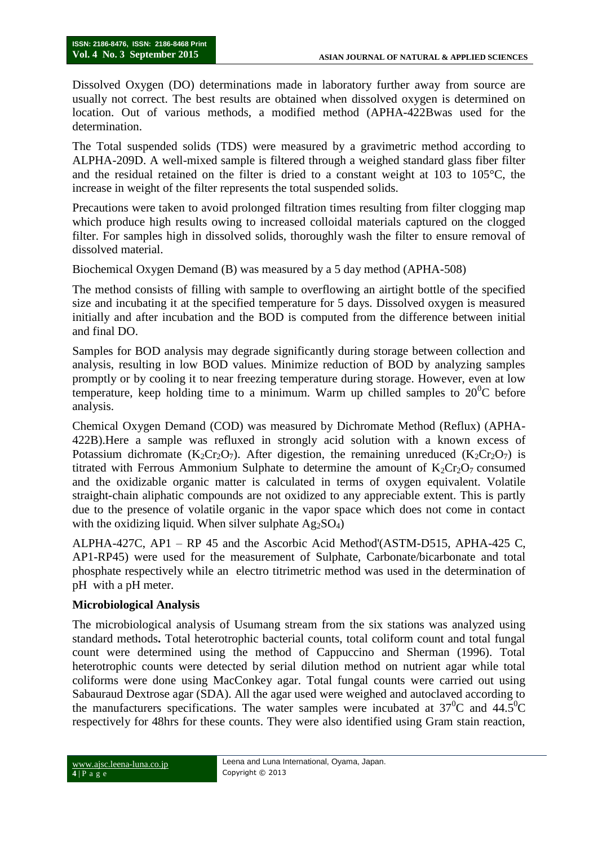Dissolved Oxygen (DO) determinations made in laboratory further away from source are usually not correct. The best results are obtained when dissolved oxygen is determined on location. Out of various methods, a modified method (APHA-422Bwas used for the determination.

The Total suspended solids (TDS) were measured by a gravimetric method according to ALPHA-209D. A well-mixed sample is filtered through a weighed standard glass fiber filter and the residual retained on the filter is dried to a constant weight at 103 to 105°C, the increase in weight of the filter represents the total suspended solids.

Precautions were taken to avoid prolonged filtration times resulting from filter clogging map which produce high results owing to increased colloidal materials captured on the clogged filter. For samples high in dissolved solids, thoroughly wash the filter to ensure removal of dissolved material.

Biochemical Oxygen Demand (B) was measured by a 5 day method (APHA-508)

The method consists of filling with sample to overflowing an airtight bottle of the specified size and incubating it at the specified temperature for 5 days. Dissolved oxygen is measured initially and after incubation and the BOD is computed from the difference between initial and final DO.

Samples for BOD analysis may degrade significantly during storage between collection and analysis, resulting in low BOD values. Minimize reduction of BOD by analyzing samples promptly or by cooling it to near freezing temperature during storage. However, even at low temperature, keep holding time to a minimum. Warm up chilled samples to  $20^0C$  before analysis.

Chemical Oxygen Demand (COD) was measured by Dichromate Method (Reflux) (APHA-422B).Here a sample was refluxed in strongly acid solution with a known excess of Potassium dichromate  $(K_2Cr_2O_7)$ . After digestion, the remaining unreduced  $(K_2Cr_2O_7)$  is titrated with Ferrous Ammonium Sulphate to determine the amount of  $K_2Cr_2O_7$  consumed and the oxidizable organic matter is calculated in terms of oxygen equivalent. Volatile straight-chain aliphatic compounds are not oxidized to any appreciable extent. This is partly due to the presence of volatile organic in the vapor space which does not come in contact with the oxidizing liquid. When silver sulphate  $Ag_2SO_4$ )

ALPHA-427C, AP1 – RP 45 and the Ascorbic Acid Method'(ASTM-D515, APHA-425 C, AP1-RP45) were used for the measurement of Sulphate, Carbonate/bicarbonate and total phosphate respectively while an electro titrimetric method was used in the determination of pH with a pH meter.

# **Microbiological Analysis**

The microbiological analysis of Usumang stream from the six stations was analyzed using standard methods**.** Total heterotrophic bacterial counts, total coliform count and total fungal count were determined using the method of Cappuccino and Sherman (1996). Total heterotrophic counts were detected by serial dilution method on nutrient agar while total coliforms were done using MacConkey agar. Total fungal counts were carried out using Sabauraud Dextrose agar (SDA). All the agar used were weighed and autoclaved according to the manufacturers specifications. The water samples were incubated at  $37^{\circ}$ C and  $44.5^{\circ}$ C respectively for 48hrs for these counts. They were also identified using Gram stain reaction,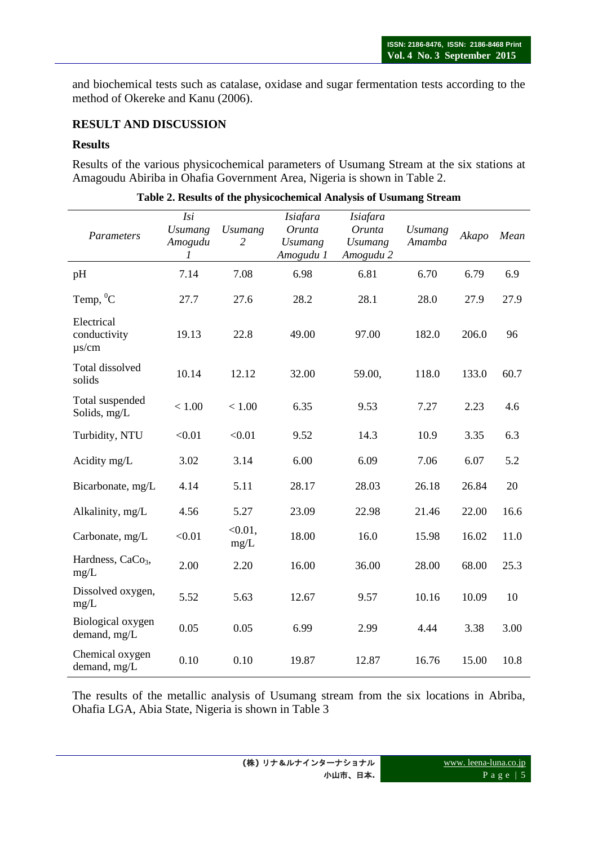and biochemical tests such as catalase, oxidase and sugar fermentation tests according to the method of Okereke and Kanu (2006).

### **RESULT AND DISCUSSION**

### **Results**

Results of the various physicochemical parameters of Usumang Stream at the six stations at Amagoudu Abiriba in Ohafia Government Area, Nigeria is shown in Table 2.

| Parameters                               | Isi<br><b>Usumang</b><br>Amogudu<br>7 | <b>Usumang</b><br>2 | <b>Isiafara</b><br>Orunta<br><b>Usumang</b><br>Amogudu 1 | <b>Isiafara</b><br>Orunta<br><b>Usumang</b><br>Amogudu 2 | <b>Usumang</b><br>Amamba | Akapo | Mean |
|------------------------------------------|---------------------------------------|---------------------|----------------------------------------------------------|----------------------------------------------------------|--------------------------|-------|------|
| pH                                       | 7.14                                  | 7.08                | 6.98                                                     | 6.81                                                     | 6.70                     | 6.79  | 6.9  |
| Temp, <sup>0</sup> C                     | 27.7                                  | 27.6                | 28.2                                                     | 28.1                                                     | 28.0                     | 27.9  | 27.9 |
| Electrical<br>conductivity<br>$\mu$ s/cm | 19.13                                 | 22.8                | 49.00                                                    | 97.00                                                    | 182.0                    | 206.0 | 96   |
| Total dissolved<br>solids                | 10.14                                 | 12.12               | 32.00                                                    | 59.00,                                                   | 118.0                    | 133.0 | 60.7 |
| Total suspended<br>Solids, mg/L          | < 1.00                                | < 1.00              | 6.35                                                     | 9.53                                                     | 7.27                     | 2.23  | 4.6  |
| Turbidity, NTU                           | < 0.01                                | < 0.01              | 9.52                                                     | 14.3                                                     | 10.9                     | 3.35  | 6.3  |
| Acidity mg/L                             | 3.02                                  | 3.14                | 6.00                                                     | 6.09                                                     | 7.06                     | 6.07  | 5.2  |
| Bicarbonate, mg/L                        | 4.14                                  | 5.11                | 28.17                                                    | 28.03                                                    | 26.18                    | 26.84 | 20   |
| Alkalinity, mg/L                         | 4.56                                  | 5.27                | 23.09                                                    | 22.98                                                    | 21.46                    | 22.00 | 16.6 |
| Carbonate, mg/L                          | < 0.01                                | $< 0.01$ ,<br>mg/L  | 18.00                                                    | 16.0                                                     | 15.98                    | 16.02 | 11.0 |
| Hardness, CaCo <sub>3</sub> ,<br>mg/L    | 2.00                                  | 2.20                | 16.00                                                    | 36.00                                                    | 28.00                    | 68.00 | 25.3 |
| Dissolved oxygen,<br>mg/L                | 5.52                                  | 5.63                | 12.67                                                    | 9.57                                                     | 10.16                    | 10.09 | 10   |
| Biological oxygen<br>demand, mg/L        | 0.05                                  | 0.05                | 6.99                                                     | 2.99                                                     | 4.44                     | 3.38  | 3.00 |
| Chemical oxygen<br>demand, mg/L          | 0.10                                  | 0.10                | 19.87                                                    | 12.87                                                    | 16.76                    | 15.00 | 10.8 |

|  |  |  |  | Table 2. Results of the physicochemical Analysis of Usumang Stream |
|--|--|--|--|--------------------------------------------------------------------|
|--|--|--|--|--------------------------------------------------------------------|

The results of the metallic analysis of Usumang stream from the six locations in Abriba, Ohafia LGA, Abia State, Nigeria is shown in Table 3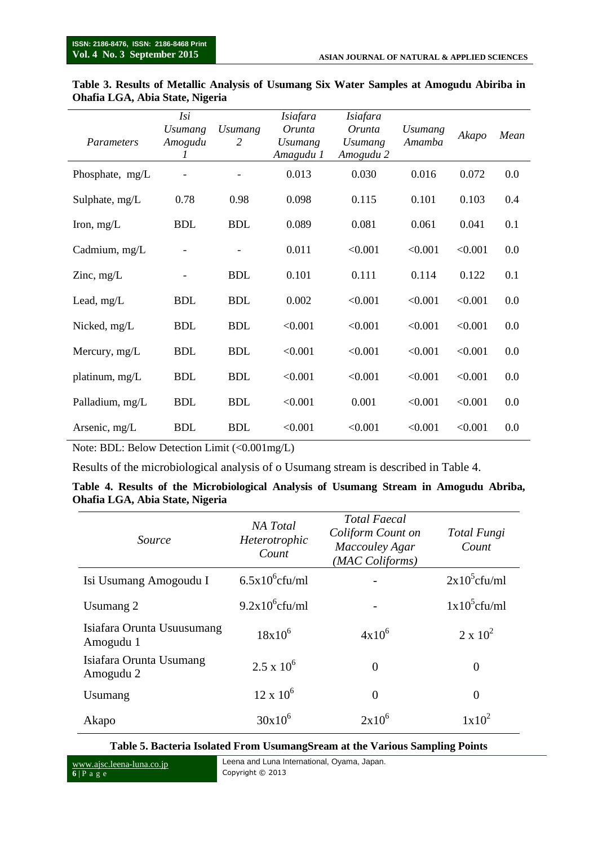| Parameters      | Isi<br><b>Usumang</b><br>Amogudu<br>1 | <i>Usumang</i><br>2 | Isiafara<br>Orunta<br><i>Usumang</i><br>Amagudu 1 | Isiafara<br>Orunta<br><b>Usumang</b><br>Amogudu 2 | <i>Usumang</i><br>Amamba | Akapo   | Mean |
|-----------------|---------------------------------------|---------------------|---------------------------------------------------|---------------------------------------------------|--------------------------|---------|------|
| Phosphate, mg/L |                                       |                     | 0.013                                             | 0.030                                             | 0.016                    | 0.072   | 0.0  |
| Sulphate, mg/L  | 0.78                                  | 0.98                | 0.098                                             | 0.115                                             | 0.101                    | 0.103   | 0.4  |
| Iron, $mg/L$    | <b>BDL</b>                            | <b>BDL</b>          | 0.089                                             | 0.081                                             | 0.061                    | 0.041   | 0.1  |
| Cadmium, mg/L   |                                       |                     | 0.011                                             | < 0.001                                           | < 0.001                  | < 0.001 | 0.0  |
| Zinc, $mg/L$    |                                       | <b>BDL</b>          | 0.101                                             | 0.111                                             | 0.114                    | 0.122   | 0.1  |
| Lead, $mg/L$    | <b>BDL</b>                            | <b>BDL</b>          | 0.002                                             | < 0.001                                           | < 0.001                  | < 0.001 | 0.0  |
| Nicked, mg/L    | <b>BDL</b>                            | <b>BDL</b>          | < 0.001                                           | < 0.001                                           | < 0.001                  | < 0.001 | 0.0  |
| Mercury, mg/L   | <b>BDL</b>                            | <b>BDL</b>          | < 0.001                                           | < 0.001                                           | < 0.001                  | < 0.001 | 0.0  |
| platinum, mg/L  | <b>BDL</b>                            | <b>BDL</b>          | < 0.001                                           | < 0.001                                           | < 0.001                  | < 0.001 | 0.0  |
| Palladium, mg/L | <b>BDL</b>                            | <b>BDL</b>          | < 0.001                                           | 0.001                                             | < 0.001                  | < 0.001 | 0.0  |
| Arsenic, mg/L   | <b>BDL</b>                            | <b>BDL</b>          | < 0.001                                           | < 0.001                                           | < 0.001                  | < 0.001 | 0.0  |

#### **Table 3. Results of Metallic Analysis of Usumang Six Water Samples at Amogudu Abiriba in Ohafia LGA, Abia State, Nigeria**

Note: BDL: Below Detection Limit (<0.001mg/L)

Results of the microbiological analysis of o Usumang stream is described in Table 4.

|                                 | Table 4. Results of the Microbiological Analysis of Usumang Stream in Amogudu Abriba, |  |  |  |
|---------------------------------|---------------------------------------------------------------------------------------|--|--|--|
| Ohafia LGA, Abia State, Nigeria |                                                                                       |  |  |  |

| <i>Source</i>                           | NA Total<br>Heterotrophic<br>Count | <b>Total Faecal</b><br>Coliform Count on<br>Maccouley Agar<br>(MAC Coliforms) | Total Fungi<br>Count |
|-----------------------------------------|------------------------------------|-------------------------------------------------------------------------------|----------------------|
| Isi Usumang Amogoudu I                  | $6.5x10^{6}$ cfu/ml                |                                                                               | $2x10^5$ cfu/ml      |
| Usumang 2                               | $9.2x10^6$ cfu/ml                  |                                                                               | $1x10^5$ cfu/ml      |
| Isiafara Orunta Usuusumang<br>Amogudu 1 | $18x10^{6}$                        | $4x10^6$                                                                      | $2 \times 10^2$      |
| Isiafara Orunta Usumang<br>Amogudu 2    | $2.5 \times 10^6$                  | $\overline{0}$                                                                | $\theta$             |
| Usumang                                 | $12 \times 10^6$                   | $\overline{0}$                                                                | $\theta$             |
| Akapo                                   | $30x10^6$                          | $2x10^6$                                                                      | $1x10^2$             |

#### **Table 5. Bacteria Isolated From UsumangSream at the Various Sampling Points**

www.ajsc.leena-luna.co.jp **6** | P a g e

Leena and Luna International, Oyama, Japan. Copyright © 2013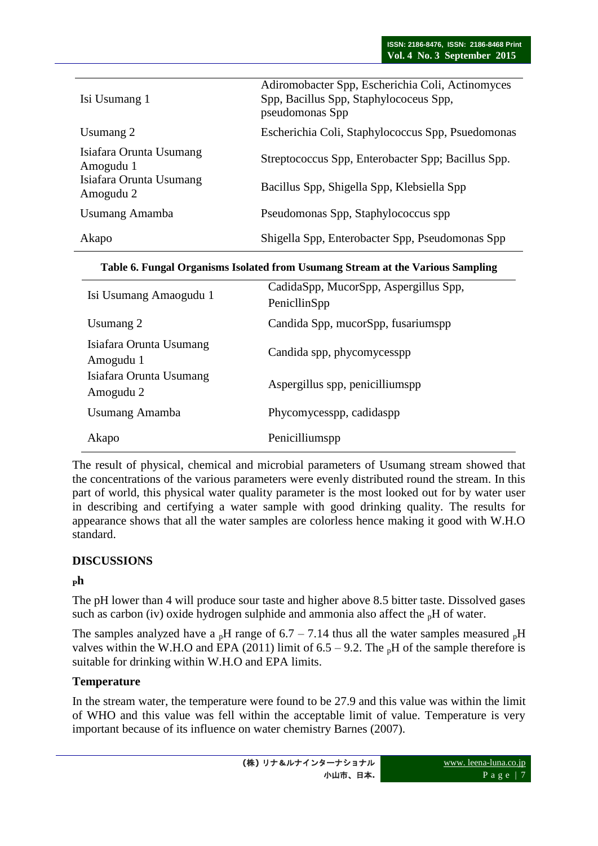| Isi Usumang 1                                                                | Adiromobacter Spp, Escherichia Coli, Actinomyces<br>Spp, Bacillus Spp, Staphylococeus Spp,<br>pseudomonas Spp |
|------------------------------------------------------------------------------|---------------------------------------------------------------------------------------------------------------|
| Usumang 2                                                                    | Escherichia Coli, Staphylococcus Spp, Psuedomonas                                                             |
| Isiafara Orunta Usumang<br>Amogudu 1<br>Isiafara Orunta Usumang<br>Amogudu 2 | Streptococcus Spp, Enterobacter Spp; Bacillus Spp.<br>Bacillus Spp, Shigella Spp, Klebsiella Spp              |
| Usumang Amamba                                                               | Pseudomonas Spp, Staphylococcus spp                                                                           |
| Akapo                                                                        | Shigella Spp, Enterobacter Spp, Pseudomonas Spp                                                               |

**Table 6. Fungal Organisms Isolated from Usumang Stream at the Various Sampling**

| Isi Usumang Amaogudu 1               | CadidaSpp, MucorSpp, Aspergillus Spp,<br>PenicllinSpp |
|--------------------------------------|-------------------------------------------------------|
| Usumang 2                            | Candida Spp, mucorSpp, fusariumspp                    |
| Isiafara Orunta Usumang<br>Amogudu 1 | Candida spp, phycomycesspp                            |
| Isiafara Orunta Usumang<br>Amogudu 2 | Aspergillus spp, penicilliumspp                       |
| Usumang Amamba                       | Phycomycesspp, cadidaspp                              |
| Akapo                                | Penicilliumspp                                        |

The result of physical, chemical and microbial parameters of Usumang stream showed that the concentrations of the various parameters were evenly distributed round the stream. In this part of world, this physical water quality parameter is the most looked out for by water user in describing and certifying a water sample with good drinking quality. The results for appearance shows that all the water samples are colorless hence making it good with W.H.O standard.

# **DISCUSSIONS**

# **<sup>P</sup>h**

The pH lower than 4 will produce sour taste and higher above 8.5 bitter taste. Dissolved gases such as carbon (iv) oxide hydrogen sulphide and ammonia also affect the  $n$ H of water.

The samples analyzed have a <sub>p</sub>H range of  $6.7 - 7.14$  thus all the water samples measured <sub>p</sub>H valves within the W.H.O and EPA (2011) limit of  $6.5 - 9.2$ . The  $<sub>p</sub>H$  of the sample therefore is</sub> suitable for drinking within W.H.O and EPA limits.

# **Temperature**

In the stream water, the temperature were found to be 27.9 and this value was within the limit of WHO and this value was fell within the acceptable limit of value. Temperature is very important because of its influence on water chemistry Barnes (2007).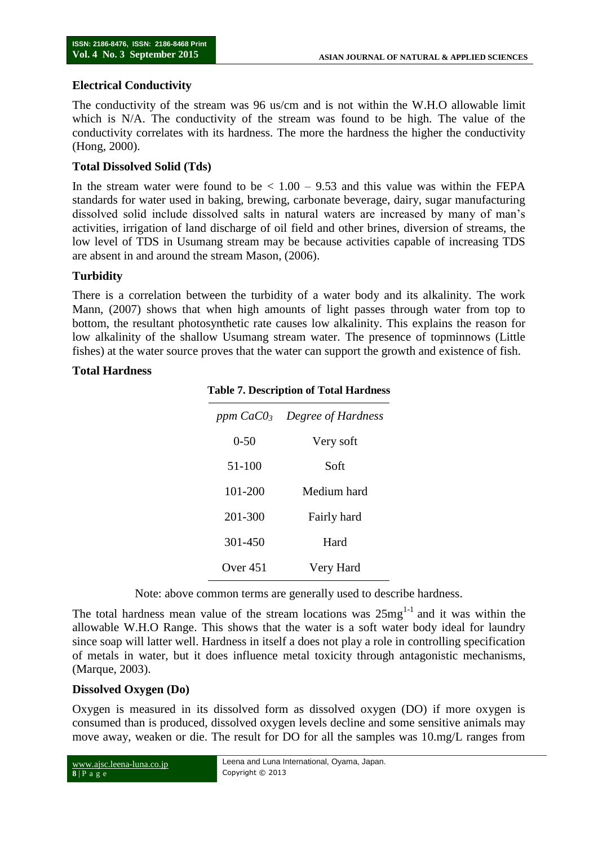### **Electrical Conductivity**

The conductivity of the stream was 96 us/cm and is not within the W.H.O allowable limit which is N/A. The conductivity of the stream was found to be high. The value of the conductivity correlates with its hardness. The more the hardness the higher the conductivity (Hong, 2000).

### **Total Dissolved Solid (Tds)**

In the stream water were found to be  $\lt 1.00 - 9.53$  and this value was within the FEPA standards for water used in baking, brewing, carbonate beverage, dairy, sugar manufacturing dissolved solid include dissolved salts in natural waters are increased by many of man's activities, irrigation of land discharge of oil field and other brines, diversion of streams, the low level of TDS in Usumang stream may be because activities capable of increasing TDS are absent in and around the stream Mason, (2006).

### **Turbidity**

There is a correlation between the turbidity of a water body and its alkalinity. The work Mann, (2007) shows that when high amounts of light passes through water from top to bottom, the resultant photosynthetic rate causes low alkalinity. This explains the reason for low alkalinity of the shallow Usumang stream water. The presence of topminnows (Little fishes) at the water source proves that the water can support the growth and existence of fish.

#### **Total Hardness**

|            | ppm $CaCO3$ Degree of Hardness |
|------------|--------------------------------|
| $0 - 50$   | Very soft                      |
| 51-100     | Soft                           |
| 101-200    | Medium hard                    |
| 201-300    | Fairly hard                    |
| 301-450    | Hard                           |
| Over $451$ | Very Hard                      |

#### **Table 7. Description of Total Hardness**

Note: above common terms are generally used to describe hardness.

The total hardness mean value of the stream locations was  $25mg^{1-1}$  and it was within the allowable W.H.O Range. This shows that the water is a soft water body ideal for laundry since soap will latter well. Hardness in itself a does not play a role in controlling specification of metals in water, but it does influence metal toxicity through antagonistic mechanisms, (Marque, 2003).

### **Dissolved Oxygen (Do)**

Oxygen is measured in its dissolved form as dissolved oxygen (DO) if more oxygen is consumed than is produced, dissolved oxygen levels decline and some sensitive animals may move away, weaken or die. The result for DO for all the samples was 10.mg/L ranges from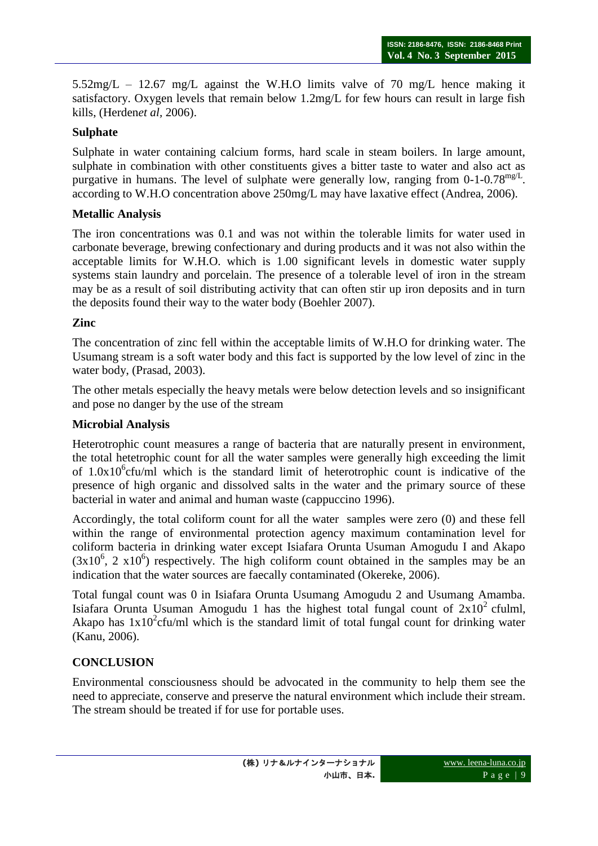5.52mg/L – 12.67 mg/L against the W.H.O limits valve of 70 mg/L hence making it satisfactory. Oxygen levels that remain below 1.2mg/L for few hours can result in large fish kills, (Herden*et al,* 2006).

### **Sulphate**

Sulphate in water containing calcium forms, hard scale in steam boilers. In large amount, sulphate in combination with other constituents gives a bitter taste to water and also act as purgative in humans. The level of sulphate were generally low, ranging from  $0-1-0.78$ <sup>mg/L</sup>. according to W.H.O concentration above 250mg/L may have laxative effect (Andrea, 2006).

### **Metallic Analysis**

The iron concentrations was 0.1 and was not within the tolerable limits for water used in carbonate beverage, brewing confectionary and during products and it was not also within the acceptable limits for W.H.O. which is 1.00 significant levels in domestic water supply systems stain laundry and porcelain. The presence of a tolerable level of iron in the stream may be as a result of soil distributing activity that can often stir up iron deposits and in turn the deposits found their way to the water body (Boehler 2007).

### **Zinc**

The concentration of zinc fell within the acceptable limits of W.H.O for drinking water. The Usumang stream is a soft water body and this fact is supported by the low level of zinc in the water body, (Prasad, 2003).

The other metals especially the heavy metals were below detection levels and so insignificant and pose no danger by the use of the stream

### **Microbial Analysis**

Heterotrophic count measures a range of bacteria that are naturally present in environment, the total hetetrophic count for all the water samples were generally high exceeding the limit of  $1.0x10^6$ cfu/ml which is the standard limit of heterotrophic count is indicative of the presence of high organic and dissolved salts in the water and the primary source of these bacterial in water and animal and human waste (cappuccino 1996).

Accordingly, the total coliform count for all the water samples were zero (0) and these fell within the range of environmental protection agency maximum contamination level for coliform bacteria in drinking water except Isiafara Orunta Usuman Amogudu I and Akapo  $(3x10^6, 2x10^6)$  respectively. The high coliform count obtained in the samples may be an indication that the water sources are faecally contaminated (Okereke, 2006).

Total fungal count was 0 in Isiafara Orunta Usumang Amogudu 2 and Usumang Amamba. Isiafara Orunta Usuman Amogudu 1 has the highest total fungal count of  $2x10^2$  cfulml, Akapo has  $1x10^2$ cfu/ml which is the standard limit of total fungal count for drinking water (Kanu, 2006).

# **CONCLUSION**

Environmental consciousness should be advocated in the community to help them see the need to appreciate, conserve and preserve the natural environment which include their stream. The stream should be treated if for use for portable uses.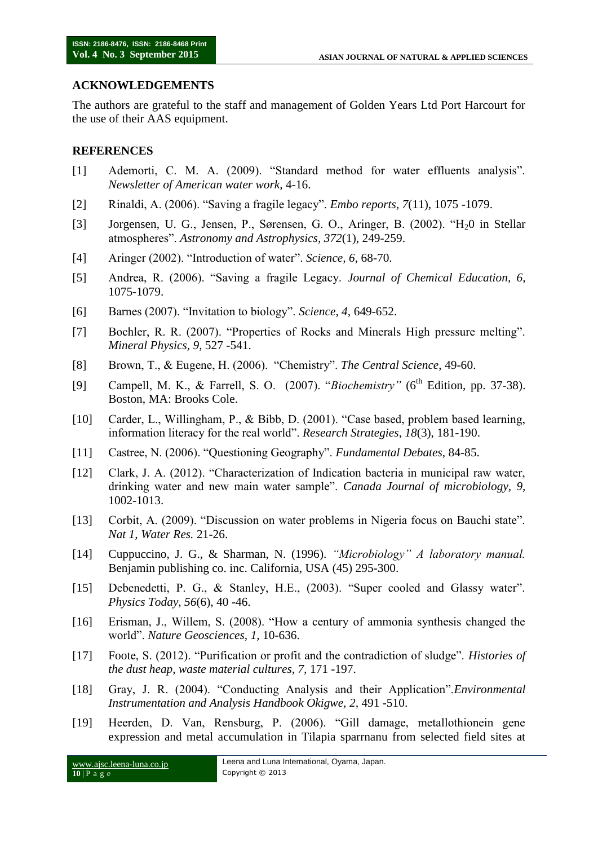### **ACKNOWLEDGEMENTS**

The authors are grateful to the staff and management of Golden Years Ltd Port Harcourt for the use of their AAS equipment.

#### **REFERENCES**

- [1] Ademorti, C. M. A. (2009). "Standard method for water effluents analysis". *Newsletter of American water work,* 4-16.
- [2] Rinaldi, A. (2006). "Saving a fragile legacy". *Embo reports, 7*(11), 1075 -1079.
- [3] Jorgensen, U. G., Jensen, P., Sørensen, G. O., Aringer, B. (2002). "H<sub>2</sub>0 in Stellar atmospheres". *Astronomy and Astrophysics, 372*(1), 249-259.
- [4] Aringer (2002). "Introduction of water". *Science, 6,* 68-70.
- [5] Andrea, R. (2006). "Saving a fragile Legacy. *Journal of Chemical Education, 6,* 1075-1079.
- [6] Barnes (2007). "Invitation to biology". *Science, 4,* 649-652.
- [7] Bochler, R. R. (2007). "Properties of Rocks and Minerals High pressure melting". *Mineral Physics, 9*, 527 -541.
- [8] Brown, T., & Eugene, H. (2006). "Chemistry". *The Central Science*, 49-60.
- [9] Campell, M. K., & Farrell, S. O. (2007). "*Biochemistry*" (6<sup>th</sup> Edition, pp. 37-38). Boston, MA: Brooks Cole.
- [10] Carder, L., Willingham, P., & Bibb, D. (2001). "Case based, problem based learning, information literacy for the real world". *Research Strategies*, *18*(3), 181-190.
- [11] Castree, N. (2006). "Questioning Geography". *Fundamental Debates,* 84-85.
- [12] Clark, J. A. (2012). "Characterization of Indication bacteria in municipal raw water, drinking water and new main water sample". *Canada Journal of microbiology, 9,*  1002-1013.
- [13] Corbit, A. (2009). "Discussion on water problems in Nigeria focus on Bauchi state". *Nat 1, Water Res.* 21-26.
- [14] Cuppuccino, J. G., & Sharman, N. (1996). *"Microbiology" A laboratory manual.* Benjamin publishing co. inc. California, USA (45) 295-300.
- [15] Debenedetti, P. G., & Stanley, H.E., (2003). "Super cooled and Glassy water". *Physics Today, 56*(6), 40 -46.
- [16] Erisman, J., Willem, S. (2008). "How a century of ammonia synthesis changed the world". *Nature Geosciences, 1,* 10-636.
- [17] Foote, S. (2012). "Purification or profit and the contradiction of sludge". *Histories of the dust heap, waste material cultures, 7,* 171 -197.
- [18] Gray, J. R. (2004). "Conducting Analysis and their Application".*Environmental Instrumentation and Analysis Handbook Okigwe, 2,* 491 -510.
- [19] Heerden, D. Van, Rensburg, P. (2006). "Gill damage, metallothionein gene expression and metal accumulation in Tilapia sparrnanu from selected field sites at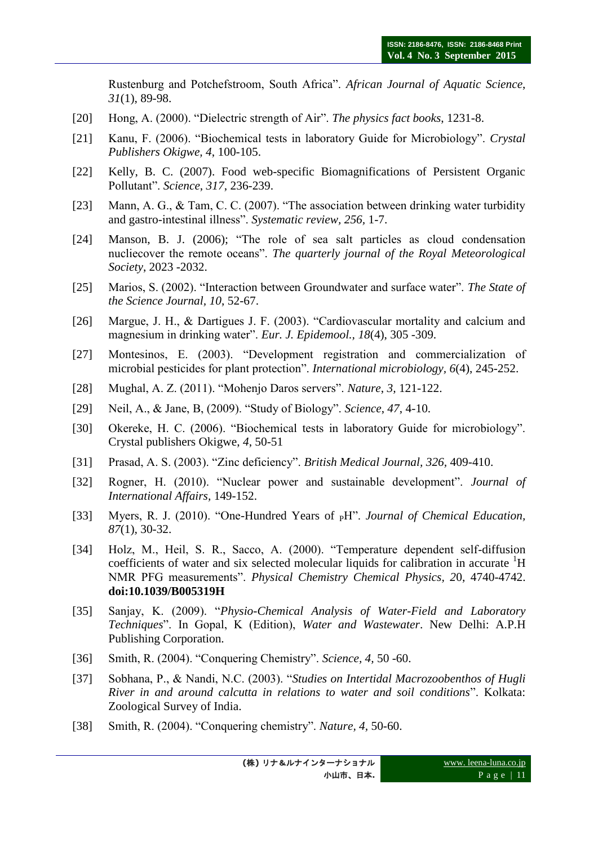Rustenburg and Potchefstroom, South Africa". *African Journal of Aquatic Science*, *31*(1), 89-98.

- [20] Hong, A. (2000). "Dielectric strength of Air". *The physics fact books*, 1231-8.
- [21] Kanu, F. (2006). "Biochemical tests in laboratory Guide for Microbiology". *Crystal Publishers Okigwe, 4*, 100-105.
- [22] Kelly, B. C. (2007). Food web-specific Biomagnifications of Persistent Organic Pollutant". *Science*, *317*, 236-239.
- [23] Mann, A. G., & Tam, C. C. (2007). "The association between drinking water turbidity and gastro-intestinal illness". *Systematic review, 256,* 1-7.
- [24] Manson, B. J. (2006); "The role of sea salt particles as cloud condensation nucliecover the remote oceans". *The quarterly journal of the Royal Meteorological Society*, 2023 -2032.
- [25] Marios, S. (2002). "Interaction between Groundwater and surface water". *The State of the Science Journal, 10*, 52-67.
- [26] Margue, J. H., & Dartigues J. F. (2003). "Cardiovascular mortality and calcium and magnesium in drinking water". *Eur. J. Epidemool., 18*(4), 305 -309.
- [27] Montesinos, E. (2003). "Development registration and commercialization of microbial pesticides for plant protection". *International microbiology, 6*(4), 245-252.
- [28] Mughal, A. Z. (2011). "Mohenjo Daros servers". *Nature*, *3,* 121-122.
- [29] Neil, A., & Jane, B, (2009). "Study of Biology". *Science*, *47*, 4-10.
- [30] Okereke, H. C. (2006). "Biochemical tests in laboratory Guide for microbiology". Crystal publishers Okigwe, *4*, 50-51
- [31] Prasad, A. S. (2003). "Zinc deficiency". *British Medical Journal, 326,* 409-410.
- [32] Rogner, H. (2010). "Nuclear power and sustainable development". *Journal of International Affairs,* 149-152.
- [33] Myers, R. J. (2010). "One-Hundred Years of <sub>P</sub>H". *Journal of Chemical Education*, *87*(1)*,* 30-32.
- [34] Holz, M., Heil, S. R., Sacco, A. (2000). "Temperature dependent self-diffusion coefficients of water and six selected molecular liquids for calibration in accurate <sup>1</sup>H NMR PFG measurements". *Physical Chemistry Chemical Physics, 2*0, 4740-4742. **doi:10.1039/B005319H**
- [35] Sanjay, K. (2009). "*Physio-Chemical Analysis of Water-Field and Laboratory Techniques*". In Gopal, K (Edition), *Water and Wastewater*. New Delhi: A.P.H Publishing Corporation.
- [36] Smith, R. (2004). "Conquering Chemistry". *Science, 4,* 50 -60.
- [37] Sobhana, P., & Nandi, N.C. (2003). "*Studies on Intertidal Macrozoobenthos of Hugli River in and around calcutta in relations to water and soil conditions*". Kolkata: Zoological Survey of India.
- [38] Smith, R. (2004). "Conquering chemistry". *Nature, 4,* 50-60.